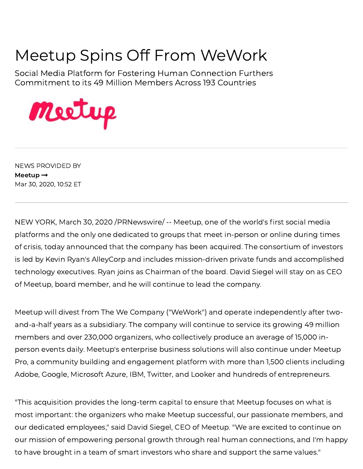## Meetup Spins Off From WeWork

Social Media Platform for Fostering Human Connection Furthers Commitment to its 49 Million Members Across 193 Countries



NEWS PROVIDED BY [Meetup](https://www.prnewswire.com/news/meetup)  $\rightarrow$ Mar 30, 2020, 10:52 ET

NEW YORK, March 30, 2020 /PRNewswire/ -- [Meetup](https://c212.net/c/link/?t=0&l=en&o=2763475-1&h=2307715458&u=https%3A%2F%2Fwww.meetup.com%2Fabout%2F&a=Meetup), one of the world's first social media platforms and the only one dedicated to groups that meet in-person or online during times of [crisis,](https://c212.net/c/link/?t=0&l=en&o=2763475-1&h=3727307778&u=https%3A%2F%2Fwww.meetup.com%2Fblog%2Fsupporting-a-community-if-real-life-events-arent-possible%2F&a=crisis) today announced that the company has been acquired. The consortium of investors is led by Kevin Ryan's [AlleyCorp](https://c212.net/c/link/?t=0&l=en&o=2763475-1&h=686941375&u=https%3A%2F%2Falleycorp.com%2Fcompanies%2F&a=AlleyCorp) and includes mission-driven private funds and accomplished technology executives. Ryan joins as Chairman of the board. David Siegel will stay on as CEO of Meetup, board member, and he will continue to lead the company.

Meetup will divest from The We Company ("WeWork") and operate independently after twoand-a-half years as a subsidiary. The company will continue to service its growing 49 million members and over 230,000 organizers, who collectively produce an average of 15,000 inperson events daily. Meetup's enterprise business solutions will also continue under Meetup Pro, a community building and [engagement](https://c212.net/c/link/?t=0&l=en&o=2763475-1&h=1849403137&u=https%3A%2F%2Fwww.meetup.com%2Fpro&a=Meetup+Pro) platform with more than 1,500 clients including Adobe, Google, Microsoft Azure, IBM, Twitter, and Looker and hundreds of entrepreneurs.

"This acquisition provides the long-term capital to ensure that [Meetup](https://c212.net/c/link/?t=0&l=en&o=2763475-1&h=2146100893&u=http%3A%2F%2Fwww.meetup.com%2F&a=Meetup) focuses on what is most important: the organizers who make Meetup successful, our passionate members, and our dedicated employees," said David Siegel, CEO of Meetup. "We are excited to continue on our mission of empowering personal growth through real human connections, and I'm happy to have brought in a team of smart investors who share and support the same values."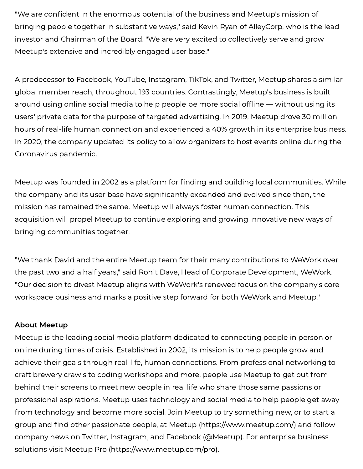"We are confident in the enormous potential of the business and Meetup's mission of bringing people together in substantive ways," said Kevin Ryan of AlleyCorp, who is the lead investor and Chairman of the Board. "We are very excited to collectively serve and grow Meetup's extensive and incredibly engaged user base."

A predecessor to Facebook, YouTube, Instagram, TikTok, and Twitter, Meetup shares a similar global member reach, throughout 193 countries. Contrastingly, Meetup's business is built around using online social media to help people be more social offline — without using its users' private data for the purpose of targeted advertising. In 2019, Meetup drove 30 million hours of real-life human connection and experienced a 40% growth in its enterprise business. In 2020, the company updated its policy to allow organizers to host events online during the Coronavirus pandemic.

Meetup was founded in 2002 as a platform for finding and building local communities. While the company and its user base have significantly expanded and evolved since then, the mission has remained the same. Meetup will always foster human connection. This acquisition will propel Meetup to continue exploring and growing innovative new ways of bringing communities together.

"We thank David and the entire Meetup team for their many contributions to WeWork over the past two and a half years," said Rohit Dave, Head of Corporate Development, WeWork. "Our decision to divest Meetup aligns with WeWork's renewed focus on the company's core workspace business and marks a positive step forward for both WeWork and Meetup."

## About Meetup

Meetup is the leading social media platform dedicated to connecting people in person or online during times of crisis. Established in 2002, its mission is to help people grow and achieve their goals through real-life, human connections. From professional networking to craft brewery crawls to coding workshops and more, people use Meetup to get out from behind their screens to meet new people in real life who share those same passions or professional aspirations. Meetup uses technology and social media to help people get away from technology and become more social. Join Meetup to try something new, or to start a group and find other passionate people, at [Meetup](https://c212.net/c/link/?t=0&l=en&o=2763475-1&h=2146100893&u=http%3A%2F%2Fwww.meetup.com%2F&a=Meetup) ([https://www.meetup.com/](https://c212.net/c/link/?t=0&l=en&o=2763475-1&h=56553850&u=https%3A%2F%2Fwww.meetup.com%2F&a=https%3A%2F%2Fwww.meetup.com%2F)) and follow company news on [Twitter](https://c212.net/c/link/?t=0&l=en&o=2763475-1&h=3807285838&u=https%3A%2F%2Ftwitter.com%2FMeetup%2F&a=Twitter), [Instagram](https://c212.net/c/link/?t=0&l=en&o=2763475-1&h=3726463672&u=https%3A%2F%2Fwww.instagram.com%2Fmeetup%2F&a=Instagram), and [Facebook](https://c212.net/c/link/?t=0&l=en&o=2763475-1&h=1184496599&u=https%3A%2F%2Fwww.facebook.com%2Fmeetup%2F&a=Facebook) (@Meetup). For enterprise business solutions visit [Meetup](https://c212.net/c/link/?t=0&l=en&o=2763475-1&h=1849403137&u=https%3A%2F%2Fwww.meetup.com%2Fpro&a=Meetup+Pro) Pro [\(https://www.meetup.com/pro\)](https://c212.net/c/link/?t=0&l=en&o=2763475-1&h=3049321354&u=https%3A%2F%2Fwww.meetup.com%2Fpro&a=https%3A%2F%2Fwww.meetup.com%2Fpro).